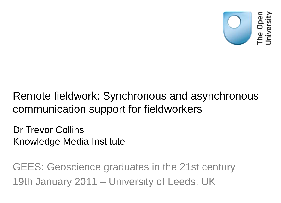

#### Remote fieldwork: Synchronous and asynchronous communication support for fieldworkers

Dr Trevor Collins Knowledge Media Institute

GEES: Geoscience graduates in the 21st century 19th January 2011 – University of Leeds, UK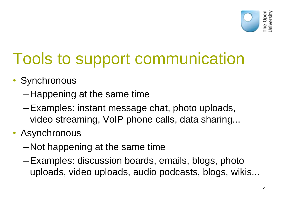

# Tools to support communication

- Synchronous
	- Happening at the same time
	- –Examples: instant message chat, photo uploads, video streaming, VoIP phone calls, data sharing...
- Asynchronous
	- Not happening at the same time
	- –Examples: discussion boards, emails, blogs, photo uploads, video uploads, audio podcasts, blogs, wikis...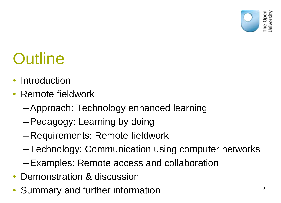

### **Outline**

- Introduction
- Remote fieldwork
	- –Approach: Technology enhanced learning
	- –Pedagogy: Learning by doing
	- Requirements: Remote fieldwork
	- –Technology: Communication using computer networks
	- –Examples: Remote access and collaboration
- Demonstration & discussion
- Summary and further information  $3^3$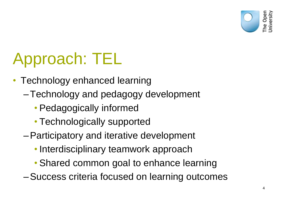

# Approach: TEL

- Technology enhanced learning
	- –Technology and pedagogy development
		- Pedagogically informed
		- Technologically supported
	- –Participatory and iterative development
		- Interdisciplinary teamwork approach
		- Shared common goal to enhance learning
	- –Success criteria focused on learning outcomes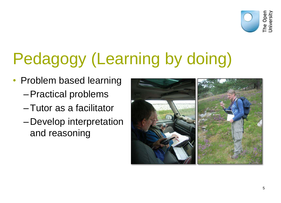

# Pedagogy (Learning by doing)

- Problem based learning
	- –Practical problems
	- –Tutor as a facilitator
	- Develop interpretation and reasoning

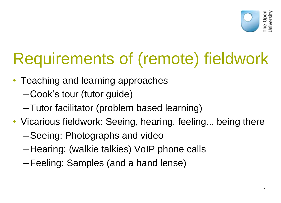

# Requirements of (remote) fieldwork

- Teaching and learning approaches
	- Cook's tour (tutor guide)
	- –Tutor facilitator (problem based learning)
- Vicarious fieldwork: Seeing, hearing, feeling... being there
	- –Seeing: Photographs and video
	- Hearing: (walkie talkies) VoIP phone calls
	- –Feeling: Samples (and a hand lense)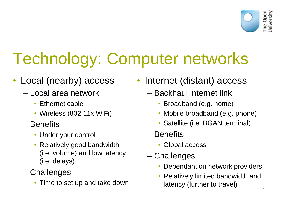

# Technology: Computer networks

- Local (nearby) access
	- Local area network
		- Ethernet cable
		- Wireless (802.11x WiFi)
	- Benefits
		- Under your control
		- Relatively good bandwidth (i.e. volume) and low latency (i.e. delays)
	- Challenges
		- Time to set up and take down
- Internet (distant) access
	- Backhaul internet link
		- Broadband (e.g. home)
		- Mobile broadband (e.g. phone)
		- Satellite (i.e. BGAN terminal)
	- Benefits
		- Global access
	- Challenges
		- Dependant on network providers
		- Relatively limited bandwidth and latency (further to travel)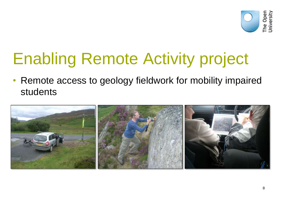

# Enabling Remote Activity project

• Remote access to geology fieldwork for mobility impaired students

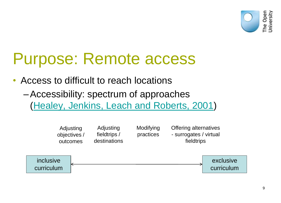

#### Purpose: Remote access

• Access to difficult to reach locations

–Accessibility: spectrum of approaches ([Healey, Jenkins, Leach and Roberts, 2001](http://www2.glos.ac.uk/gdn/disabil/overview/toc.htm))

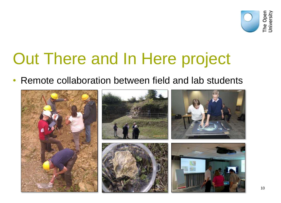

#### Out There and In Here project

• Remote collaboration between field and lab students

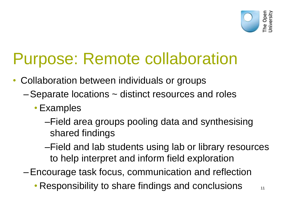

#### Purpose: Remote collaboration

- Collaboration between individuals or groups
	- –Separate locations ~ distinct resources and roles
		- Examples
			- –Field area groups pooling data and synthesising shared findings
			- –Field and lab students using lab or library resources to help interpret and inform field exploration

–Encourage task focus, communication and reflection

• Responsibility to share findings and conclusions  $\blacksquare$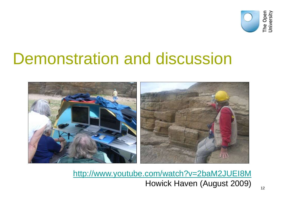

#### Demonstration and discussion



<http://www.youtube.com/watch?v=2baM2JUEI8M> Howick Haven (August 2009)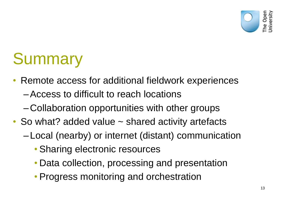

## **Summary**

- Remote access for additional fieldwork experiences
	- –Access to difficult to reach locations
	- Collaboration opportunities with other groups
- So what? added value ~ shared activity artefacts
	- Local (nearby) or internet (distant) communication
		- Sharing electronic resources
		- Data collection, processing and presentation
		- Progress monitoring and orchestration